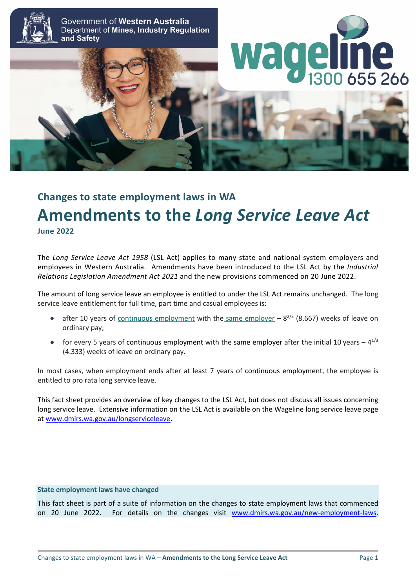

Government of Western Australia Department of Mines, Industry Regulation and Safety



# **Changes to state employment laws in WA Amendments to the** *Long Service Leave Act* **June 2022**

The *Long Service Leave Act 1958* (LSL Act) applies to many state and national system employers and employees in Western Australia. Amendments have been introduced to the LSL Act by the *Industrial Relations Legislation Amendment Act 2021* and the new provisions commenced on 20 June 2022.

The amount of long service leave an employee is entitled to under the LSL Act remains unchanged. The long service leave entitlement for full time, part time and casual employees is:

- after 10 years of [continuous employment](https://www.commerce.wa.gov.au/labour-relations/long-service-leave-what-continuous-employment) with the [same employer](https://www.commerce.wa.gov.au/labour-relations/long-service-leave-what-happens-when-business-ownership-changes)  $-8^{2/3}$  (8.667) weeks of leave on ordinary pay;
- for every 5 years of continuous employment with the same employer after the initial 10 years  $4^{1/3}$ (4.333) weeks of leave on ordinary pay.

In most cases, when employment ends after at least 7 years of continuous employment, the employee is entitled to pro rata long service leave.

This fact sheet provides an overview of key changes to the LSL Act, but does not discuss all issues concerning long service leave. Extensive information on the LSL Act is available on the Wageline long service leave page at [www.dmirs.wa.gov.au/longserviceleave.](http://www.dmirs.wa.gov.au/longserviceleave)

### **State employment laws have changed**

This fact sheet is part of a suite of information on the changes to state employment laws that commenced on 20 June 2022. For details on the changes visit [www.dmirs.wa.gov.au/new-employment-laws.](http://www.dmirs.wa.gov.au/new-employment-laws)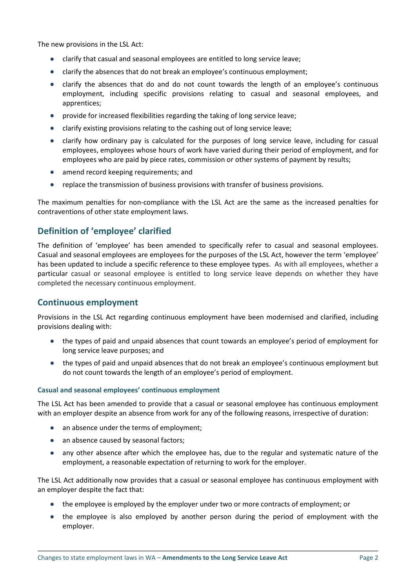The new provisions in the LSL Act:

- clarify that casual and seasonal employees are entitled to long service leave;
- clarify the absences that do not break an employee's continuous employment;
- clarify the absences that do and do not count towards the length of an employee's continuous employment, including specific provisions relating to casual and seasonal employees, and apprentices;
- provide for increased flexibilities regarding the taking of long service leave;
- clarify existing provisions relating to the cashing out of long service leave;
- clarify how ordinary pay is calculated for the purposes of long service leave, including for casual employees, employees whose hours of work have varied during their period of employment, and for employees who are paid by piece rates, commission or other systems of payment by results;
- amend record keeping requirements; and
- replace the transmission of business provisions with transfer of business provisions.

The maximum penalties for non-compliance with the LSL Act are the same as the increased penalties for contraventions of other state employment laws.

# **Definition of 'employee' clarified**

The definition of 'employee' has been amended to specifically refer to casual and seasonal employees. Casual and seasonal employees are employees for the purposes of the LSL Act, however the term 'employee' has been updated to include a specific reference to these employee types. As with all employees, whether a particular casual or seasonal employee is entitled to long service leave depends on whether they have completed the necessary continuous employment.

### **Continuous employment**

Provisions in the LSL Act regarding continuous employment have been modernised and clarified, including provisions dealing with:

- the types of paid and unpaid absences that count towards an employee's period of employment for long service leave purposes; and
- the types of paid and unpaid absences that do not break an employee's continuous employment but do not count towards the length of an employee's period of employment.

### **Casual and seasonal employees' continuous employment**

The LSL Act has been amended to provide that a casual or seasonal employee has continuous employment with an employer despite an absence from work for any of the following reasons, irrespective of duration:

- an absence under the terms of employment;
- an absence caused by seasonal factors;
- any other absence after which the employee has, due to the regular and systematic nature of the employment, a reasonable expectation of returning to work for the employer.

The LSL Act additionally now provides that a casual or seasonal employee has continuous employment with an employer despite the fact that:

- the employee is employed by the employer under two or more contracts of employment; or
- the employee is also employed by another person during the period of employment with the employer.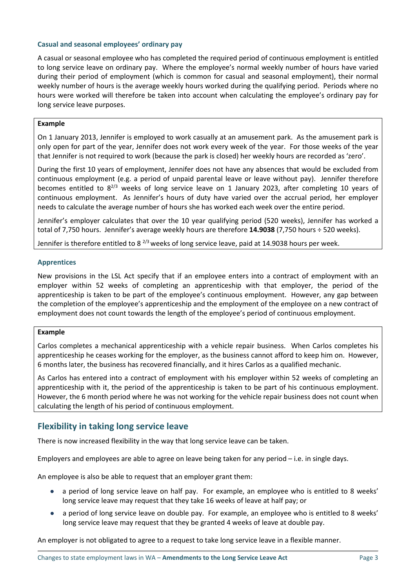### **Casual and seasonal employees' ordinary pay**

A casual or seasonal employee who has completed the required period of continuous employment is entitled to long service leave on ordinary pay. Where the employee's normal weekly number of hours have varied during their period of employment (which is common for casual and seasonal employment), their normal weekly number of hours is the average weekly hours worked during the qualifying period. Periods where no hours were worked will therefore be taken into account when calculating the employee's ordinary pay for long service leave purposes.

### **Example**

On 1 January 2013, Jennifer is employed to work casually at an amusement park. As the amusement park is only open for part of the year, Jennifer does not work every week of the year. For those weeks of the year that Jennifer is not required to work (because the park is closed) her weekly hours are recorded as 'zero'.

During the first 10 years of employment, Jennifer does not have any absences that would be excluded from continuous employment (e.g. a period of unpaid parental leave or leave without pay). Jennifer therefore becomes entitled to  $8^{2/3}$  weeks of long service leave on 1 January 2023, after completing 10 years of continuous employment. As Jennifer's hours of duty have varied over the accrual period, her employer needs to calculate the average number of hours she has worked each week over the entire period.

Jennifer's employer calculates that over the 10 year qualifying period (520 weeks), Jennifer has worked a total of 7,750 hours. Jennifer's average weekly hours are therefore **14.9038** (7,750 hours ÷ 520 weeks).

Jennifer is therefore entitled to 8  $^{2/3}$  weeks of long service leave, paid at 14.9038 hours per week.

### **Apprentices**

New provisions in the LSL Act specify that if an employee enters into a contract of employment with an employer within 52 weeks of completing an apprenticeship with that employer, the period of the apprenticeship is taken to be part of the employee's continuous employment. However, any gap between the completion of the employee's apprenticeship and the employment of the employee on a new contract of employment does not count towards the length of the employee's period of continuous employment.

### **Example**

Carlos completes a mechanical apprenticeship with a vehicle repair business. When Carlos completes his apprenticeship he ceases working for the employer, as the business cannot afford to keep him on. However, 6 months later, the business has recovered financially, and it hires Carlos as a qualified mechanic.

As Carlos has entered into a contract of employment with his employer within 52 weeks of completing an apprenticeship with it, the period of the apprenticeship is taken to be part of his continuous employment. However, the 6 month period where he was not working for the vehicle repair business does not count when calculating the length of his period of continuous employment.

## **Flexibility in taking long service leave**

There is now increased flexibility in the way that long service leave can be taken.

Employers and employees are able to agree on leave being taken for any period – i.e. in single days.

An employee is also be able to request that an employer grant them:

- a period of long service leave on half pay. For example, an employee who is entitled to 8 weeks' long service leave may request that they take 16 weeks of leave at half pay; or
- a period of long service leave on double pay. For example, an employee who is entitled to 8 weeks' long service leave may request that they be granted 4 weeks of leave at double pay.

An employer is not obligated to agree to a request to take long service leave in a flexible manner.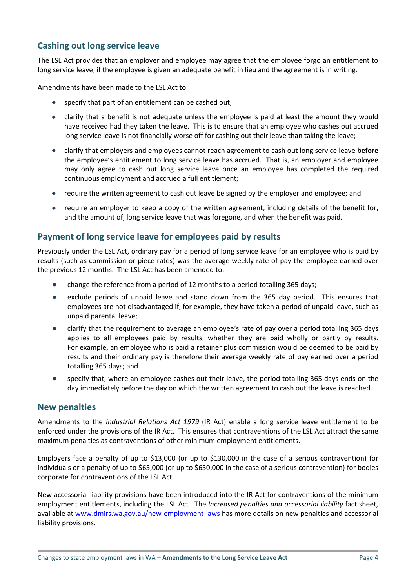# **Cashing out long service leave**

The LSL Act provides that an employer and employee may agree that the employee forgo an entitlement to long service leave, if the employee is given an adequate benefit in lieu and the agreement is in writing.

Amendments have been made to the LSL Act to:

- specify that part of an entitlement can be cashed out;
- clarify that a benefit is not adequate unless the employee is paid at least the amount they would have received had they taken the leave. This is to ensure that an employee who cashes out accrued long service leave is not financially worse off for cashing out their leave than taking the leave;
- clarify that employers and employees cannot reach agreement to cash out long service leave **before** the employee's entitlement to long service leave has accrued. That is, an employer and employee may only agree to cash out long service leave once an employee has completed the required continuous employment and accrued a full entitlement;
- require the written agreement to cash out leave be signed by the employer and employee; and
- require an employer to keep a copy of the written agreement, including details of the benefit for, and the amount of, long service leave that was foregone, and when the benefit was paid.

### **Payment of long service leave for employees paid by results**

Previously under the LSL Act, ordinary pay for a period of long service leave for an employee who is paid by results (such as commission or piece rates) was the average weekly rate of pay the employee earned over the previous 12 months. The LSL Act has been amended to:

- change the reference from a period of 12 months to a period totalling 365 days;
- exclude periods of unpaid leave and stand down from the 365 day period. This ensures that employees are not disadvantaged if, for example, they have taken a period of unpaid leave, such as unpaid parental leave;
- clarify that the requirement to average an employee's rate of pay over a period totalling 365 days applies to all employees paid by results, whether they are paid wholly or partly by results. For example, an employee who is paid a retainer plus commission would be deemed to be paid by results and their ordinary pay is therefore their average weekly rate of pay earned over a period totalling 365 days; and
- specify that, where an employee cashes out their leave, the period totalling 365 days ends on the day immediately before the day on which the written agreement to cash out the leave is reached.

### **New penalties**

Amendments to the *Industrial Relations Act 1979* (IR Act) enable a long service leave entitlement to be enforced under the provisions of the IR Act. This ensures that contraventions of the LSL Act attract the same maximum penalties as contraventions of other minimum employment entitlements.

Employers face a penalty of up to \$13,000 (or up to \$130,000 in the case of a serious contravention) for individuals or a penalty of up to \$65,000 (or up to \$650,000 in the case of a serious contravention) for bodies corporate for contraventions of the LSL Act.

New accessorial liability provisions have been introduced into the IR Act for contraventions of the minimum employment entitlements, including the LSL Act*.* The *Increased penalties and accessorial liability* fact sheet, available a[t www.dmirs.wa.gov.au/new-employment-laws](http://www.dmirs.wa.gov.au/new-employment-laws) has more details on new penalties and accessorial liability provisions.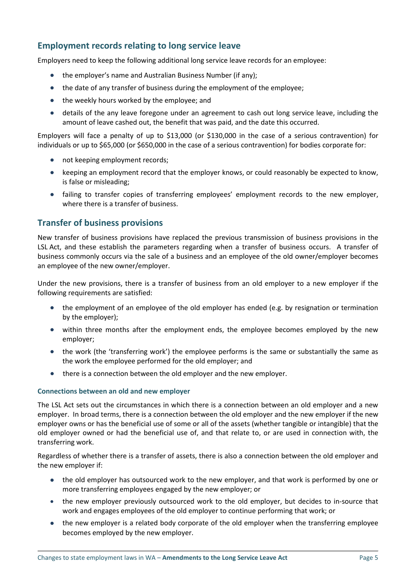# **Employment records relating to long service leave**

Employers need to keep the following additional long service leave records for an employee:

- the employer's name and Australian Business Number (if any);
- the date of any transfer of business during the employment of the employee;
- the weekly hours worked by the employee; and
- details of the any leave foregone under an agreement to cash out long service leave, including the amount of leave cashed out, the benefit that was paid, and the date this occurred.

Employers will face a penalty of up to \$13,000 (or \$130,000 in the case of a serious contravention) for individuals or up to \$65,000 (or \$650,000 in the case of a serious contravention) for bodies corporate for:

- not keeping employment records;
- keeping an employment record that the employer knows, or could reasonably be expected to know, is false or misleading;
- failing to transfer copies of transferring employees' employment records to the new employer, where there is a transfer of business.

### **Transfer of business provisions**

New transfer of business provisions have replaced the previous transmission of business provisions in the LSL Act, and these establish the parameters regarding when a transfer of business occurs. A transfer of business commonly occurs via the sale of a business and an employee of the old owner/employer becomes an employee of the new owner/employer.

Under the new provisions, there is a transfer of business from an old employer to a new employer if the following requirements are satisfied:

- the employment of an employee of the old employer has ended (e.g. by resignation or termination by the employer);
- within three months after the employment ends, the employee becomes employed by the new employer;
- the work (the 'transferring work') the employee performs is the same or substantially the same as the work the employee performed for the old employer; and
- there is a connection between the old employer and the new employer.

### **Connections between an old and new employer**

The LSL Act sets out the circumstances in which there is a connection between an old employer and a new employer. In broad terms, there is a connection between the old employer and the new employer if the new employer owns or has the beneficial use of some or all of the assets (whether tangible or intangible) that the old employer owned or had the beneficial use of, and that relate to, or are used in connection with, the transferring work.

Regardless of whether there is a transfer of assets, there is also a connection between the old employer and the new employer if:

- the old employer has outsourced work to the new employer, and that work is performed by one or more transferring employees engaged by the new employer; or
- the new employer previously outsourced work to the old employer, but decides to in-source that work and engages employees of the old employer to continue performing that work; or
- the new employer is a related body corporate of the old employer when the transferring employee becomes employed by the new employer.